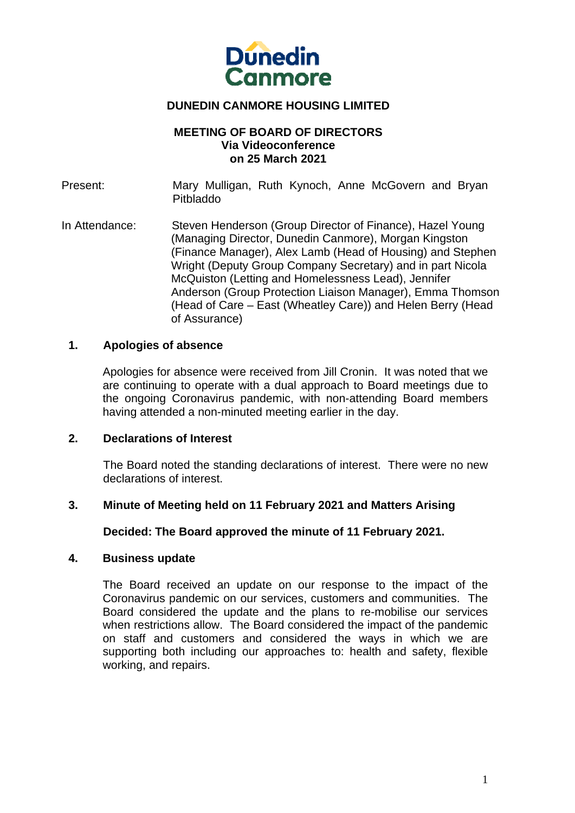

# **DUNEDIN CANMORE HOUSING LIMITED**

### **MEETING OF BOARD OF DIRECTORS Via Videoconference on 25 March 2021**

Present: Mary Mulligan, Ruth Kynoch, Anne McGovern and Bryan Pitbladdo In Attendance: Steven Henderson (Group Director of Finance), Hazel Young (Managing Director, Dunedin Canmore), Morgan Kingston (Finance Manager), Alex Lamb (Head of Housing) and Stephen Wright (Deputy Group Company Secretary) and in part Nicola McQuiston (Letting and Homelessness Lead), Jennifer Anderson (Group Protection Liaison Manager), Emma Thomson (Head of Care – East (Wheatley Care)) and Helen Berry (Head

### **1. Apologies of absence**

of Assurance)

Apologies for absence were received from Jill Cronin. It was noted that we are continuing to operate with a dual approach to Board meetings due to the ongoing Coronavirus pandemic, with non-attending Board members having attended a non-minuted meeting earlier in the day.

### **2. Declarations of Interest**

The Board noted the standing declarations of interest. There were no new declarations of interest.

## **3. Minute of Meeting held on 11 February 2021 and Matters Arising**

### **Decided: The Board approved the minute of 11 February 2021.**

### **4. Business update**

The Board received an update on our response to the impact of the Coronavirus pandemic on our services, customers and communities. The Board considered the update and the plans to re-mobilise our services when restrictions allow. The Board considered the impact of the pandemic on staff and customers and considered the ways in which we are supporting both including our approaches to: health and safety, flexible working, and repairs.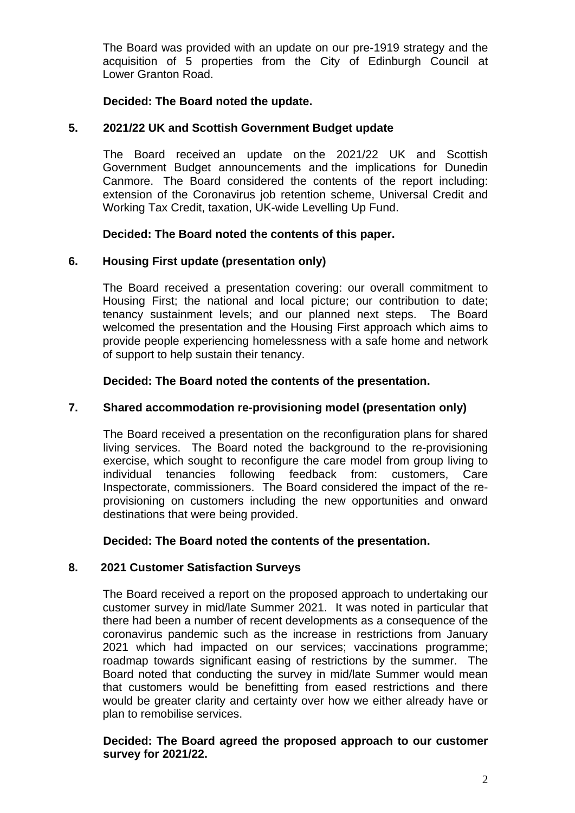The Board was provided with an update on our pre-1919 strategy and the acquisition of 5 properties from the City of Edinburgh Council at Lower Granton Road.

## **Decided: The Board noted the update.**

## **5. 2021/22 UK and Scottish Government Budget update**

The Board received an update on the 2021/22 UK and Scottish Government Budget announcements and the implications for Dunedin Canmore. The Board considered the contents of the report including: extension of the Coronavirus job retention scheme, Universal Credit and Working Tax Credit, taxation, UK-wide Levelling Up Fund.

# **Decided: The Board noted the contents of this paper.**

# **6. Housing First update (presentation only)**

 The Board received a presentation covering: our overall commitment to Housing First; the national and local picture; our contribution to date; tenancy sustainment levels; and our planned next steps. The Board welcomed the presentation and the Housing First approach which aims to provide people experiencing homelessness with a safe home and network of support to help sustain their tenancy.

**Decided: The Board noted the contents of the presentation.** 

## **7. Shared accommodation re-provisioning model (presentation only)**

The Board received a presentation on the reconfiguration plans for shared living services. The Board noted the background to the re-provisioning exercise, which sought to reconfigure the care model from group living to individual tenancies following feedback from: customers, Care Inspectorate, commissioners. The Board considered the impact of the reprovisioning on customers including the new opportunities and onward destinations that were being provided.

**Decided: The Board noted the contents of the presentation.** 

## **8. 2021 Customer Satisfaction Surveys**

 The Board received a report on the proposed approach to undertaking our customer survey in mid/late Summer 2021. It was noted in particular that there had been a number of recent developments as a consequence of the coronavirus pandemic such as the increase in restrictions from January 2021 which had impacted on our services; vaccinations programme; roadmap towards significant easing of restrictions by the summer. The Board noted that conducting the survey in mid/late Summer would mean that customers would be benefitting from eased restrictions and there would be greater clarity and certainty over how we either already have or plan to remobilise services.

**Decided: The Board agreed the proposed approach to our customer survey for 2021/22.**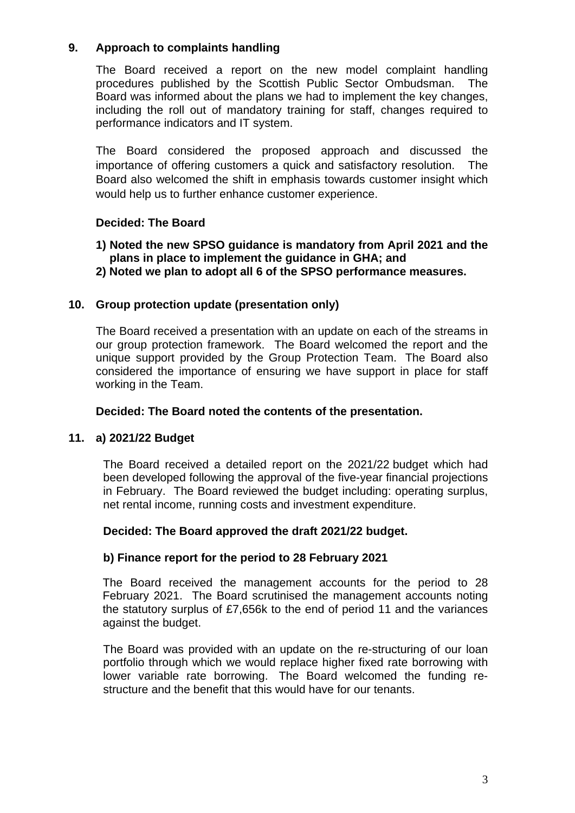# **9. Approach to complaints handling**

The Board received a report on the new model complaint handling procedures published by the Scottish Public Sector Ombudsman. The Board was informed about the plans we had to implement the key changes, including the roll out of mandatory training for staff, changes required to performance indicators and IT system.

The Board considered the proposed approach and discussed the importance of offering customers a quick and satisfactory resolution. The Board also welcomed the shift in emphasis towards customer insight which would help us to further enhance customer experience.

# **Decided: The Board**

# **1) Noted the new SPSO guidance is mandatory from April 2021 and the plans in place to implement the guidance in GHA; and**

**2) Noted we plan to adopt all 6 of the SPSO performance measures.** 

## **10. Group protection update (presentation only)**

The Board received a presentation with an update on each of the streams in our group protection framework. The Board welcomed the report and the unique support provided by the Group Protection Team. The Board also considered the importance of ensuring we have support in place for staff working in the Team.

## **Decided: The Board noted the contents of the presentation.**

## **11. a) 2021/22 Budget**

The Board received a detailed report on the 2021/22 budget which had been developed following the approval of the five-year financial projections in February. The Board reviewed the budget including: operating surplus, net rental income, running costs and investment expenditure.

## **Decided: The Board approved the draft 2021/22 budget.**

## **b) Finance report for the period to 28 February 2021**

The Board received the management accounts for the period to 28 February 2021. The Board scrutinised the management accounts noting the statutory surplus of £7,656k to the end of period 11 and the variances against the budget.

The Board was provided with an update on the re-structuring of our loan portfolio through which we would replace higher fixed rate borrowing with lower variable rate borrowing. The Board welcomed the funding restructure and the benefit that this would have for our tenants.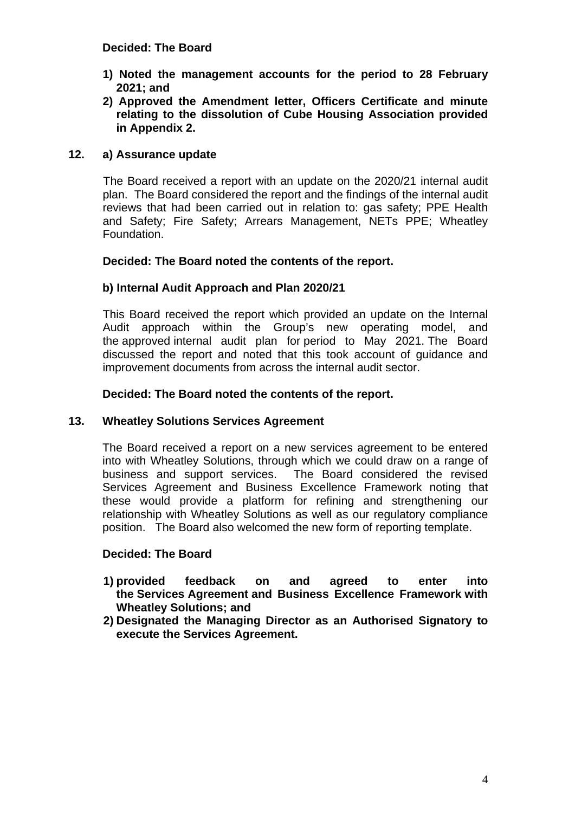### **Decided: The Board**

- **1) Noted the management accounts for the period to 28 February 2021; and**
- **2) Approved the Amendment letter, Officers Certificate and minute relating to the dissolution of Cube Housing Association provided in Appendix 2.**

## **12. a) Assurance update**

The Board received a report with an update on the 2020/21 internal audit plan. The Board considered the report and the findings of the internal audit reviews that had been carried out in relation to: gas safety; PPE Health and Safety; Fire Safety; Arrears Management, NETs PPE; Wheatley Foundation.

## **Decided: The Board noted the contents of the report.**

# **b) Internal Audit Approach and Plan 2020/21**

 This Board received the report which provided an update on the Internal Audit approach within the Group's new operating model, and the approved internal audit plan for period to May 2021. The Board discussed the report and noted that this took account of guidance and improvement documents from across the internal audit sector.

## **Decided: The Board noted the contents of the report.**

## **13. Wheatley Solutions Services Agreement**

The Board received a report on a new services agreement to be entered into with Wheatley Solutions, through which we could draw on a range of business and support services. The Board considered the revised Services Agreement and Business Excellence Framework noting that these would provide a platform for refining and strengthening our relationship with Wheatley Solutions as well as our regulatory compliance position. The Board also welcomed the new form of reporting template.

## **Decided: The Board**

- **1) provided feedback on and agreed to enter into the Services Agreement and Business Excellence Framework with Wheatley Solutions; and**
- **2) Designated the Managing Director as an Authorised Signatory to execute the Services Agreement.**